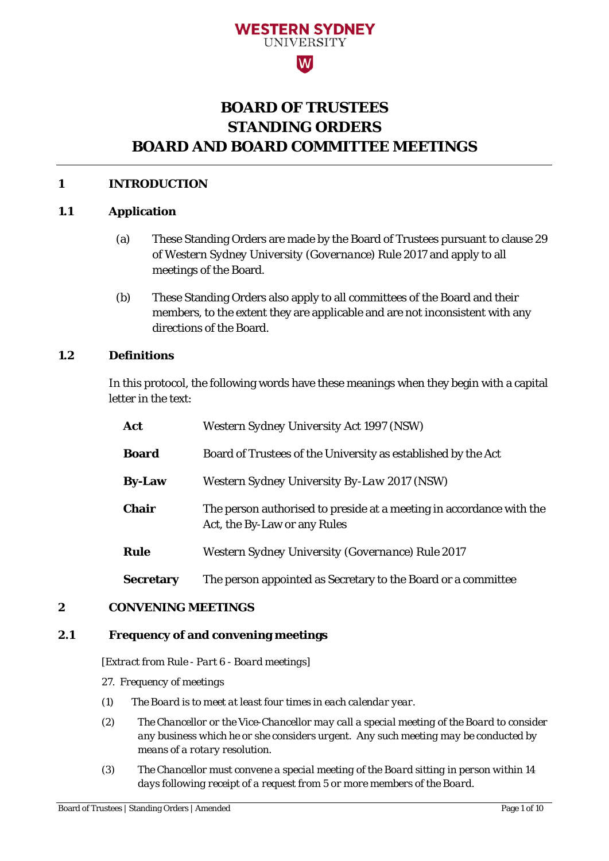# **WESTERN SYDNEY IINIVERSITY**

# $|\mathbf{W}|$

# **BOARD OF TRUSTEES STANDING ORDERS BOARD AND BOARD COMMITTEE MEETINGS**

# **1 INTRODUCTION**

# **1.1 Application**

- (a) These Standing Orders are made by the Board of Trustees pursuant to clause 29 of *Western Sydney University (Governance) Rule* 2017 and apply to all meetings of the Board.
- (b) These Standing Orders also apply to all committees of the Board and their members, to the extent they are applicable and are not inconsistent with any directions of the Board.

# **1.2 Definitions**

In this protocol, the following words have these meanings when they begin with a capital letter in the text:

| Act              | <b>Western Sydney University Act 1997 (NSW)</b>                                                      |
|------------------|------------------------------------------------------------------------------------------------------|
| <b>Board</b>     | Board of Trustees of the University as established by the Act                                        |
| <b>By-Law</b>    | Western Sydney University By-Law 2017 (NSW)                                                          |
| <b>Chair</b>     | The person authorised to preside at a meeting in accordance with the<br>Act, the By-Law or any Rules |
| <b>Rule</b>      | Western Sydney University (Governance) Rule 2017                                                     |
| <b>Secretary</b> | The person appointed as Secretary to the Board or a committee                                        |

# **2 CONVENING MEETINGS**

# **2.1 Frequency of and convening meetings**

*[Extract from Rule - Part 6 - Board meetings]* 

- *27. Frequency of meetings*
- *(1) The Board is to meet at least four times in each calendar year.*
- *(2) The Chancellor or the Vice-Chancellor may call a special meeting of the Board to consider any business which he or she considers urgent. Any such meeting may be conducted by means of a rotary resolution.*
- *(3) The Chancellor must convene a special meeting of the Board sitting in person within 14 days following receipt of a request from 5 or more members of the Board.*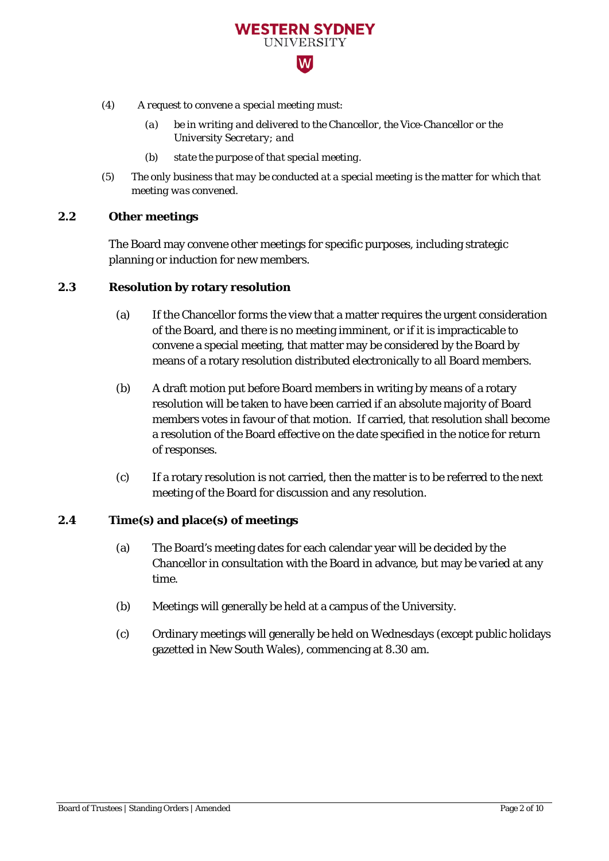- *(4) A request to convene a special meeting must:*
	- *(a) be in writing and delivered to the Chancellor, the Vice-Chancellor or the University Secretary; and*

**WESTERN SYDNEY** UNIVERSITY  $|\mathbf{W}|$ 

- *(b) state the purpose of that special meeting.*
- *(5) The only business that may be conducted at a special meeting is the matter for which that meeting was convened.*

# **2.2 Other meetings**

The Board may convene other meetings for specific purposes, including strategic planning or induction for new members.

# **2.3 Resolution by rotary resolution**

- (a) If the Chancellor forms the view that a matter requires the urgent consideration of the Board, and there is no meeting imminent, or if it is impracticable to convene a special meeting, that matter may be considered by the Board by means of a rotary resolution distributed electronically to all Board members.
- (b) A draft motion put before Board members in writing by means of a rotary resolution will be taken to have been carried if an absolute majority of Board members votes in favour of that motion. If carried, that resolution shall become a resolution of the Board effective on the date specified in the notice for return of responses.
- (c) If a rotary resolution is not carried, then the matter is to be referred to the next meeting of the Board for discussion and any resolution.

# **2.4 Time(s) and place(s) of meetings**

- (a) The Board's meeting dates for each calendar year will be decided by the Chancellor in consultation with the Board in advance, but may be varied at any time.
- (b) Meetings will generally be held at a campus of the University.
- (c) Ordinary meetings will generally be held on Wednesdays (except public holidays gazetted in New South Wales), commencing at 8.30 am.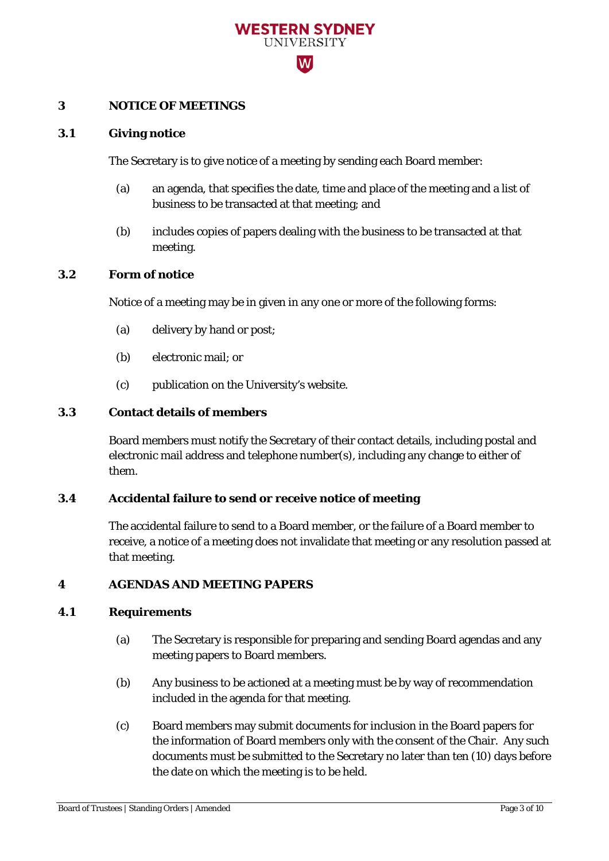

# **3 NOTICE OF MEETINGS**

#### **3.1 Giving notice**

The Secretary is to give notice of a meeting by sending each Board member:

- (a) an agenda, that specifies the date, time and place of the meeting and a list of business to be transacted at that meeting; and
- (b) includes copies of papers dealing with the business to be transacted at that meeting.

#### **3.2 Form of notice**

Notice of a meeting may be in given in any one or more of the following forms:

- (a) delivery by hand or post;
- (b) electronic mail; or
- (c) publication on the University's website.

# **3.3 Contact details of members**

Board members must notify the Secretary of their contact details, including postal and electronic mail address and telephone number(s), including any change to either of them.

# **3.4 Accidental failure to send or receive notice of meeting**

The accidental failure to send to a Board member, or the failure of a Board member to receive, a notice of a meeting does not invalidate that meeting or any resolution passed at that meeting.

# **4 AGENDAS AND MEETING PAPERS**

# **4.1 Requirements**

- (a) The Secretary is responsible for preparing and sending Board agendas and any meeting papers to Board members.
- (b) Any business to be actioned at a meeting must be by way of recommendation included in the agenda for that meeting.
- (c) Board members may submit documents for inclusion in the Board papers for the information of Board members only with the consent of the Chair. Any such documents must be submitted to the Secretary no later than ten (10) days before the date on which the meeting is to be held.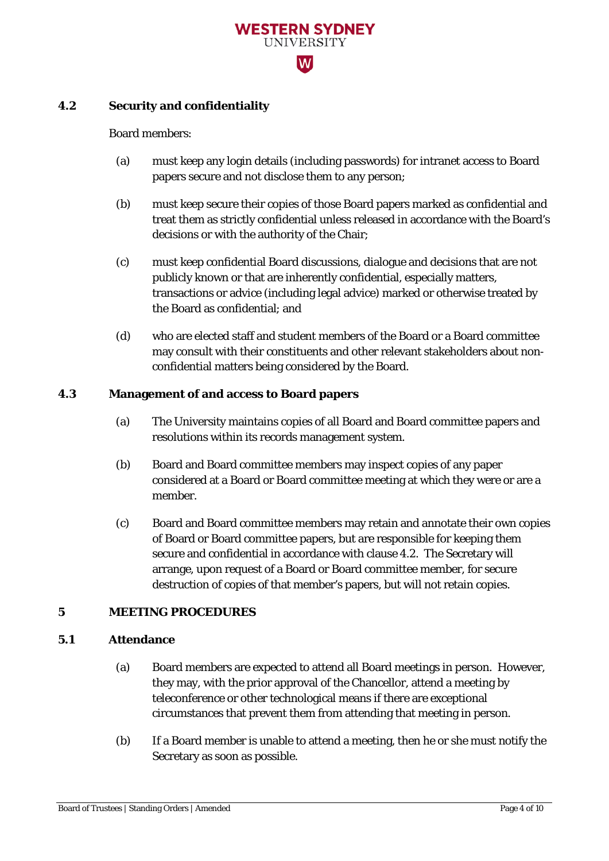

# **4.2 Security and confidentiality**

#### Board members:

- (a) must keep any login details (including passwords) for intranet access to Board papers secure and not disclose them to any person;
- (b) must keep secure their copies of those Board papers marked as confidential and treat them as strictly confidential unless released in accordance with the Board's decisions or with the authority of the Chair;
- (c) must keep confidential Board discussions, dialogue and decisions that are not publicly known or that are inherently confidential, especially matters, transactions or advice (including legal advice) marked or otherwise treated by the Board as confidential; and
- (d) who are elected staff and student members of the Board or a Board committee may consult with their constituents and other relevant stakeholders about nonconfidential matters being considered by the Board.

# **4.3 Management of and access to Board papers**

- (a) The University maintains copies of all Board and Board committee papers and resolutions within its records management system.
- (b) Board and Board committee members may inspect copies of any paper considered at a Board or Board committee meeting at which they were or are a member.
- (c) Board and Board committee members may retain and annotate their own copies of Board or Board committee papers, but are responsible for keeping them secure and confidential in accordance with clause 4.2. The Secretary will arrange, upon request of a Board or Board committee member, for secure destruction of copies of that member's papers, but will not retain copies.

# **5 MEETING PROCEDURES**

# **5.1 Attendance**

- (a) Board members are expected to attend all Board meetings in person. However, they may, with the prior approval of the Chancellor, attend a meeting by teleconference or other technological means if there are exceptional circumstances that prevent them from attending that meeting in person.
- (b) If a Board member is unable to attend a meeting, then he or she must notify the Secretary as soon as possible.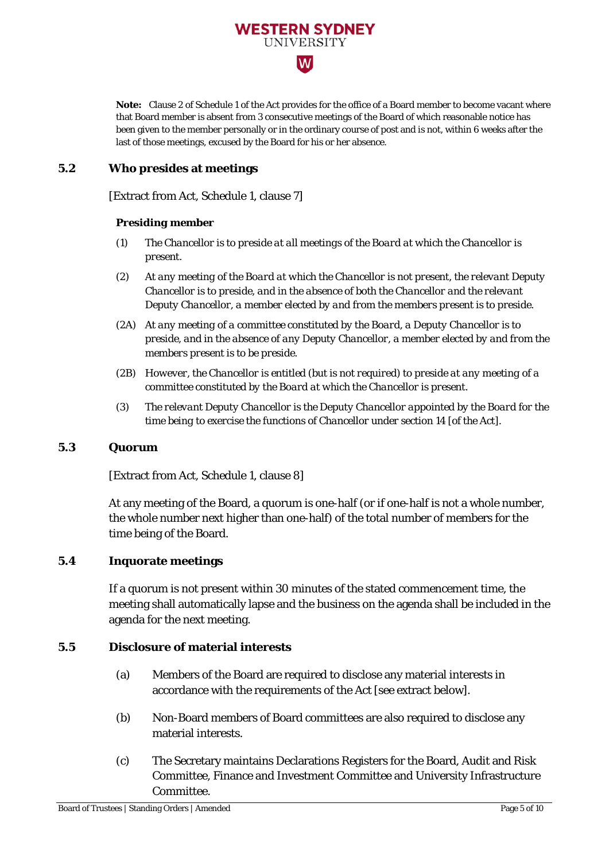

**Note:** Clause 2 of Schedule 1 of the Act provides for the office of a Board member to become vacant where that Board member is absent from 3 consecutive meetings of the Board of which reasonable notice has been given to the member personally or in the ordinary course of post and is not, within 6 weeks after the last of those meetings, excused by the Board for his or her absence.

# **5.2 Who presides at meetings**

[Extract from Act, Schedule 1, clause 7]

#### *Presiding member*

- *(1) The Chancellor is to preside at all meetings of the Board at which the Chancellor is present.*
- *(2) At any meeting of the Board at which the Chancellor is not present, the relevant Deputy Chancellor is to preside, and in the absence of both the Chancellor and the relevant Deputy Chancellor, a member elected by and from the members present is to preside.*
- *(2A) At any meeting of a committee constituted by the Board, a Deputy Chancellor is to preside, and in the absence of any Deputy Chancellor, a member elected by and from the members present is to be preside.*
- *(2B) However, the Chancellor is entitled (but is not required) to preside at any meeting of a committee constituted by the Board at which the Chancellor is present.*
- *(3) The relevant Deputy Chancellor is the Deputy Chancellor appointed by the Board for the time being to exercise the functions of Chancellor under section 14 [of the Act].*

#### **5.3 Quorum**

[Extract from Act, Schedule 1, clause 8]

At any meeting of the Board, a quorum is one-half (or if one-half is not a whole number, the whole number next higher than one-half) of the total number of members for the time being of the Board.

# **5.4 Inquorate meetings**

If a quorum is not present within 30 minutes of the stated commencement time, the meeting shall automatically lapse and the business on the agenda shall be included in the agenda for the next meeting.

# **5.5 Disclosure of material interests**

- (a) Members of the Board are required to disclose any material interests in accordance with the requirements of the Act [see extract below].
- (b) Non-Board members of Board committees are also required to disclose any material interests.
- (c) The Secretary maintains Declarations Registers for the Board, Audit and Risk Committee, Finance and Investment Committee and University Infrastructure Committee.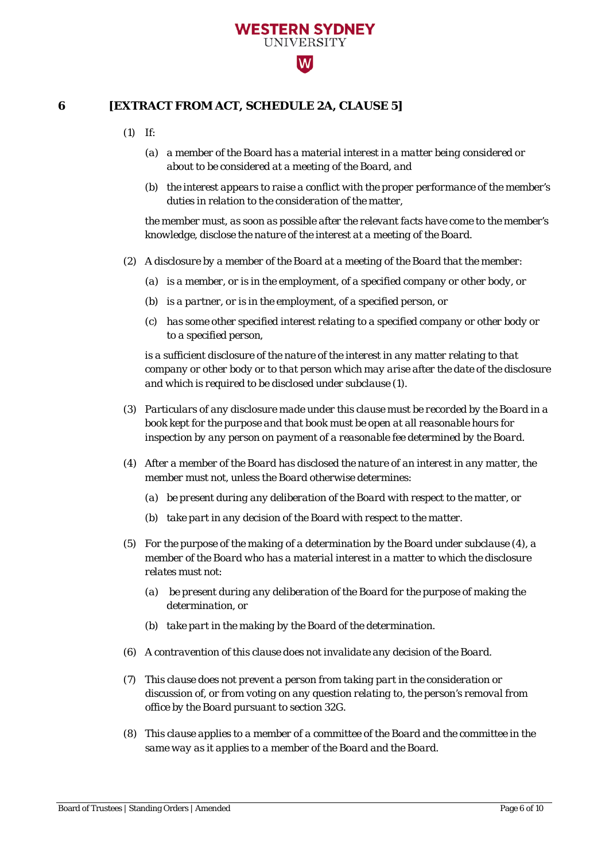

# **6 [EXTRACT FROM ACT, SCHEDULE 2A, CLAUSE 5]**

*(1) If:* 

- *(a) a member of the Board has a material interest in a matter being considered or about to be considered at a meeting of the Board, and*
- *(b) the interest appears to raise a conflict with the proper performance of the member's duties in relation to the consideration of the matter,*

*the member must, as soon as possible after the relevant facts have come to the member's knowledge, disclose the nature of the interest at a meeting of the Board.* 

- *(2) A disclosure by a member of the Board at a meeting of the Board that the member:* 
	- *(a) is a member, or is in the employment, of a specified company or other body, or*
	- *(b) is a partner, or is in the employment, of a specified person, or*
	- *(c) has some other specified interest relating to a specified company or other body or to a specified person,*

*is a sufficient disclosure of the nature of the interest in any matter relating to that company or other body or to that person which may arise after the date of the disclosure and which is required to be disclosed under subclause (1).* 

- *(3) Particulars of any disclosure made under this clause must be recorded by the Board in a book kept for the purpose and that book must be open at all reasonable hours for inspection by any person on payment of a reasonable fee determined by the Board.*
- *(4) After a member of the Board has disclosed the nature of an interest in any matter, the member must not, unless the Board otherwise determines:* 
	- *(a) be present during any deliberation of the Board with respect to the matter, or*
	- *(b) take part in any decision of the Board with respect to the matter.*
- *(5) For the purpose of the making of a determination by the Board under subclause (4), a member of the Board who has a material interest in a matter to which the disclosure relates must not:* 
	- *(a) be present during any deliberation of the Board for the purpose of making the determination, or*
	- *(b) take part in the making by the Board of the determination.*
- *(6) A contravention of this clause does not invalidate any decision of the Board.*
- *(7) This clause does not prevent a person from taking part in the consideration or discussion of, or from voting on any question relating to, the person's removal from office by the Board pursuant to section 32G.*
- *(8) This clause applies to a member of a committee of the Board and the committee in the same way as it applies to a member of the Board and the Board.*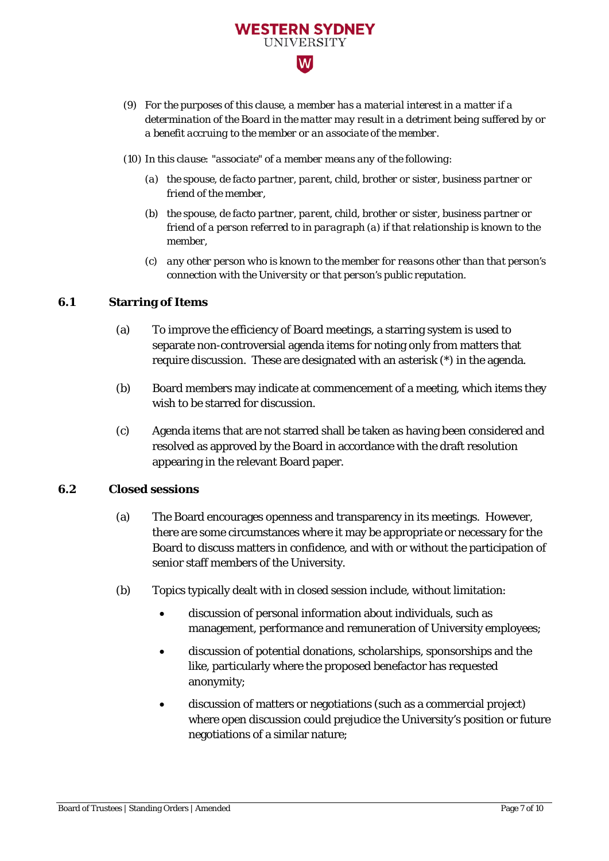

*(10) In this clause: "associate" of a member means any of the following:* 

**WESTERN SYDNEY UNIVERSITY** 

 $|\mathbf{W}|$ 

- *(a) the spouse, de facto partner, parent, child, brother or sister, business partner or friend of the member,*
- *(b) the spouse, de facto partner, parent, child, brother or sister, business partner or friend of a person referred to in paragraph (a) if that relationship is known to the member,*
- *(c) any other person who is known to the member for reasons other than that person's connection with the University or that person's public reputation.*

# **6.1 Starring of Items**

- (a) To improve the efficiency of Board meetings, a starring system is used to separate non-controversial agenda items for noting only from matters that require discussion. These are designated with an asterisk (\*) in the agenda.
- (b) Board members may indicate at commencement of a meeting, which items they wish to be starred for discussion.
- (c) Agenda items that are not starred shall be taken as having been considered and resolved as approved by the Board in accordance with the draft resolution appearing in the relevant Board paper.

# **6.2 Closed sessions**

- (a) The Board encourages openness and transparency in its meetings. However, there are some circumstances where it may be appropriate or necessary for the Board to discuss matters in confidence, and with or without the participation of senior staff members of the University.
- (b) Topics typically dealt with in closed session include, without limitation:
	- discussion of personal information about individuals, such as management, performance and remuneration of University employees;
	- discussion of potential donations, scholarships, sponsorships and the like, particularly where the proposed benefactor has requested anonymity;
	- discussion of matters or negotiations (such as a commercial project) where open discussion could prejudice the University's position or future negotiations of a similar nature;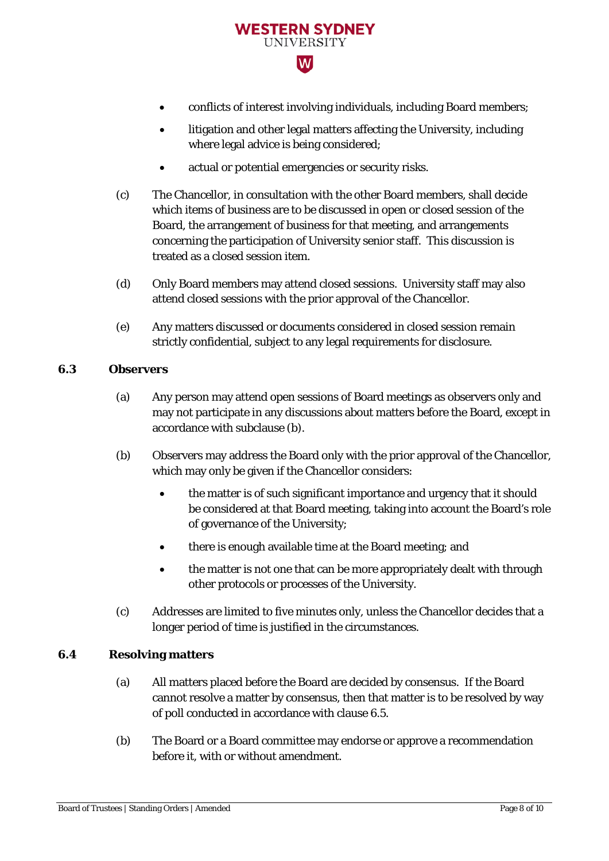

- conflicts of interest involving individuals, including Board members;
- litigation and other legal matters affecting the University, including where legal advice is being considered;
- actual or potential emergencies or security risks.
- (c) The Chancellor, in consultation with the other Board members, shall decide which items of business are to be discussed in open or closed session of the Board, the arrangement of business for that meeting, and arrangements concerning the participation of University senior staff. This discussion is treated as a closed session item.
- (d) Only Board members may attend closed sessions. University staff may also attend closed sessions with the prior approval of the Chancellor.
- (e) Any matters discussed or documents considered in closed session remain strictly confidential, subject to any legal requirements for disclosure.

#### **6.3 Observers**

- (a) Any person may attend open sessions of Board meetings as observers only and may not participate in any discussions about matters before the Board, except in accordance with subclause (b).
- (b) Observers may address the Board only with the prior approval of the Chancellor, which may only be given if the Chancellor considers:
	- the matter is of such significant importance and urgency that it should be considered at that Board meeting, taking into account the Board's role of governance of the University;
	- there is enough available time at the Board meeting; and
	- the matter is not one that can be more appropriately dealt with through other protocols or processes of the University.
- (c) Addresses are limited to five minutes only, unless the Chancellor decides that a longer period of time is justified in the circumstances.

# **6.4 Resolving matters**

- (a) All matters placed before the Board are decided by consensus. If the Board cannot resolve a matter by consensus, then that matter is to be resolved by way of poll conducted in accordance with clause 6.5.
- (b) The Board or a Board committee may endorse or approve a recommendation before it, with or without amendment.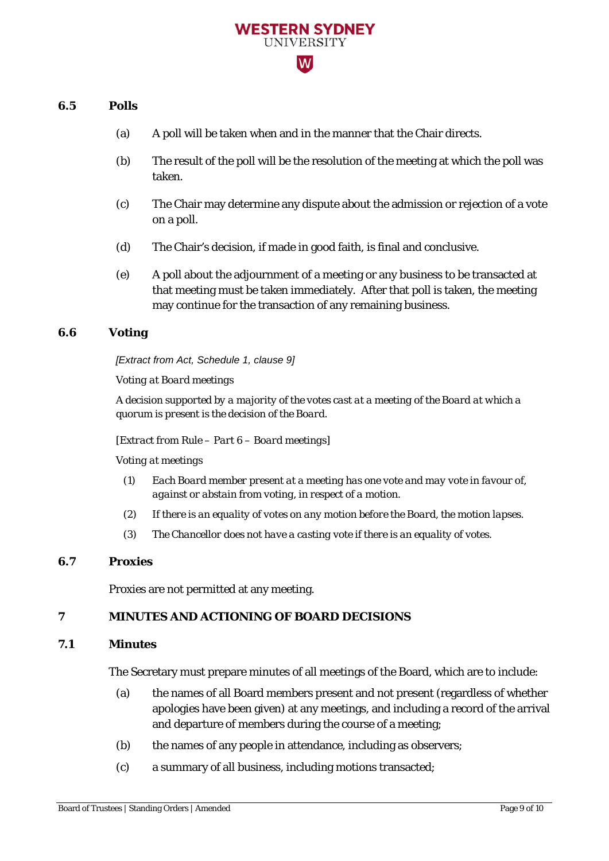# **WESTERN SYDNEY IINIVERSITY**  $|\mathsf{W}|$

#### **6.5 Polls**

- (a) A poll will be taken when and in the manner that the Chair directs.
- (b) The result of the poll will be the resolution of the meeting at which the poll was taken.
- (c) The Chair may determine any dispute about the admission or rejection of a vote on a poll.
- (d) The Chair's decision, if made in good faith, is final and conclusive.
- (e) A poll about the adjournment of a meeting or any business to be transacted at that meeting must be taken immediately. After that poll is taken, the meeting may continue for the transaction of any remaining business.

# **6.6 Voting**

*[Extract from Act, Schedule 1, clause 9]*

*Voting at Board meetings*

*A decision supported by a majority of the votes cast at a meeting of the Board at which a quorum is present is the decision of the Board.* 

*[Extract from Rule – Part 6 – Board meetings]* 

*Voting at meetings*

- *(1) Each Board member present at a meeting has one vote and may vote in favour of, against or abstain from voting, in respect of a motion.*
- *(2) If there is an equality of votes on any motion before the Board, the motion lapses.*
- *(3) The Chancellor does not have a casting vote if there is an equality of votes.*

# **6.7 Proxies**

Proxies are not permitted at any meeting.

# **7 MINUTES AND ACTIONING OF BOARD DECISIONS**

#### **7.1 Minutes**

The Secretary must prepare minutes of all meetings of the Board, which are to include:

- (a) the names of all Board members present and not present (regardless of whether apologies have been given) at any meetings, and including a record of the arrival and departure of members during the course of a meeting;
- (b) the names of any people in attendance, including as observers;
- (c) a summary of all business, including motions transacted;